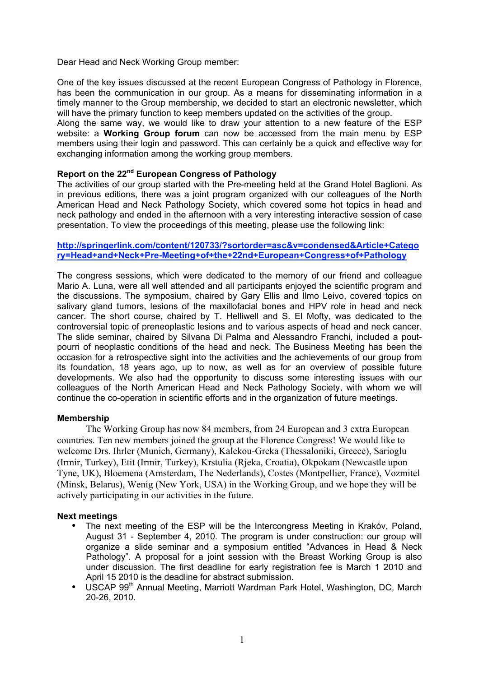Dear Head and Neck Working Group member:

One of the key issues discussed at the recent European Congress of Pathology in Florence, has been the communication in our group. As a means for disseminating information in a timely manner to the Group membership, we decided to start an electronic newsletter, which will have the primary function to keep members updated on the activities of the group.

Along the same way, we would like to draw your attention to a new feature of the ESP website: a **Working Group forum** can now be accessed from the main menu by ESP members using their login and password. This can certainly be a quick and effective way for exchanging information among the working group members.

## **Report on the 22nd European Congress of Pathology**

The activities of our group started with the Pre-meeting held at the Grand Hotel Baglioni. As in previous editions, there was a joint program organized with our colleagues of the North American Head and Neck Pathology Society, which covered some hot topics in head and neck pathology and ended in the afternoon with a very interesting interactive session of case presentation. To view the proceedings of this meeting, please use the following link:

## **http://springerlink.com/content/120733/?sortorder=asc&v=condensed&Article+Catego ry=Head+and+Neck+Pre-Meeting+of+the+22nd+European+Congress+of+Pathology**

The congress sessions, which were dedicated to the memory of our friend and colleague Mario A. Luna, were all well attended and all participants enjoyed the scientific program and the discussions. The symposium, chaired by Gary Ellis and Ilmo Leivo, covered topics on salivary gland tumors, lesions of the maxillofacial bones and HPV role in head and neck cancer. The short course, chaired by T. Helliwell and S. El Mofty, was dedicated to the controversial topic of preneoplastic lesions and to various aspects of head and neck cancer. The slide seminar, chaired by Silvana Di Palma and Alessandro Franchi, included a poutpourri of neoplastic conditions of the head and neck. The Business Meeting has been the occasion for a retrospective sight into the activities and the achievements of our group from its foundation, 18 years ago, up to now, as well as for an overview of possible future developments. We also had the opportunity to discuss some interesting issues with our colleagues of the North American Head and Neck Pathology Society, with whom we will continue the co-operation in scientific efforts and in the organization of future meetings.

## **Membership**

The Working Group has now 84 members, from 24 European and 3 extra European countries. Ten new members joined the group at the Florence Congress! We would like to welcome Drs. Ihrler (Munich, Germany), Kalekou-Greka (Thessaloniki, Greece), Sarioglu (Irmir, Turkey), Etit (Irmir, Turkey), Krstulia (Rjeka, Croatia), Okpokam (Newcastle upon Tyne, UK), Bloemena (Amsterdam, The Nederlands), Costes (Montpellier, France), Vozmitel (Minsk, Belarus), Wenig (New York, USA) in the Working Group, and we hope they will be actively participating in our activities in the future.

## **Next meetings**

- The next meeting of the ESP will be the Intercongress Meeting in Krakóv, Poland, August 31 - September 4, 2010. The program is under construction: our group will organize a slide seminar and a symposium entitled "Advances in Head & Neck Pathology". A proposal for a joint session with the Breast Working Group is also under discussion. The first deadline for early registration fee is March 1 2010 and April 15 2010 is the deadline for abstract submission.
- USCAP 99<sup>th</sup> Annual Meeting, Marriott Wardman Park Hotel, Washington, DC, March 20-26, 2010.